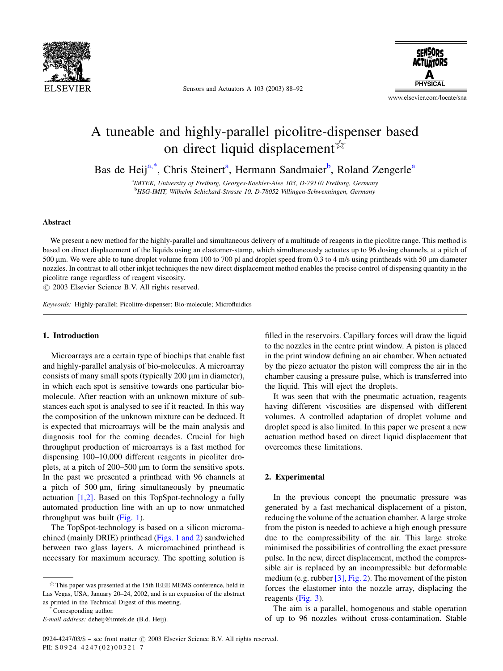

Sensors and Actuators A 103 (2003) 88–92

**SENSORS ACTUATORS PHYSICAL** 

www.elsevier.com/locate/sna

# A tuneable and highly-parallel picolitre-dispenser based on direct liquid displacement  $\mathbb{X}$

Bas de Heij<sup>a,\*</sup>, Chris Steinert<sup>a</sup>, Hermann Sandmaier<sup>b</sup>, Roland Zengerle<sup>a</sup>

<sup>a</sup>IMTEK, University of Freiburg, Georges-Koehler-Alee 103, D-79110 Freiburg, Germany b HSG-IMIT, Wilhelm Schickard-Strasse 10, D-78052 Villingen-Schwenningen, Germany

### Abstract

We present a new method for the highly-parallel and simultaneous delivery of a multitude of reagents in the picolitre range. This method is based on direct displacement of the liquids using an elastomer-stamp, which simultaneously actuates up to 96 dosing channels, at a pitch of 500 um. We were able to tune droplet volume from 100 to 700 pl and droplet speed from 0.3 to 4 m/s using printheads with 50 um diameter nozzles. In contrast to all other inkjet techniques the new direct displacement method enables the precise control of dispensing quantity in the picolitre range regardless of reagent viscosity.

 $\odot$  2003 Elsevier Science B.V. All rights reserved.

Keywords: Highly-parallel; Picolitre-dispenser; Bio-molecule; Microfluidics

### 1. Introduction

Microarrays are a certain type of biochips that enable fast and highly-parallel analysis of bio-molecules. A microarray consists of many small spots (typically 200 µm in diameter), in which each spot is sensitive towards one particular biomolecule. After reaction with an unknown mixture of substances each spot is analysed to see if it reacted. In this way the composition of the unknown mixture can be deduced. It is expected that microarrays will be the main analysis and diagnosis tool for the coming decades. Crucial for high throughput production of microarrays is a fast method for dispensing 100–10,000 different reagents in picoliter droplets, at a pitch of 200–500 µm to form the sensitive spots. In the past we presented a printhead with 96 channels at a pitch of 500 um, firing simultaneously by pneumatic actuation [\[1,2\]](#page-4-0). Based on this TopSpot-technology a fully automated production line with an up to now unmatched throughput was built ([Fig. 1\)](#page-1-0).

The TopSpot-technology is based on a silicon micromachined (mainly DRIE) printhead ([Figs. 1 and 2\)](#page-1-0) sandwiched between two glass layers. A micromachined printhead is necessary for maximum accuracy. The spotting solution is

filled in the reservoirs. Capillary forces will draw the liquid to the nozzles in the centre print window. A piston is placed in the print window defining an air chamber. When actuated by the piezo actuator the piston will compress the air in the chamber causing a pressure pulse, which is transferred into the liquid. This will eject the droplets.

It was seen that with the pneumatic actuation, reagents having different viscosities are dispensed with different volumes. A controlled adaptation of droplet volume and droplet speed is also limited. In this paper we present a new actuation method based on direct liquid displacement that overcomes these limitations.

# 2. Experimental

In the previous concept the pneumatic pressure was generated by a fast mechanical displacement of a piston, reducing the volume of the actuation chamber. A large stroke from the piston is needed to achieve a high enough pressure due to the compressibility of the air. This large stroke minimised the possibilities of controlling the exact pressure pulse. In the new, direct displacement, method the compressible air is replaced by an incompressible but deformable medium (e.g. rubber  $[3]$ , [Fig. 2\)](#page-1-0). The movement of the piston forces the elastomer into the nozzle array, displacing the reagents ([Fig. 3\)](#page-1-0).

The aim is a parallel, homogenous and stable operation of up to 96 nozzles without cross-contamination. Stable

 $*$  This paper was presented at the 15th IEEE MEMS conference, held in Las Vegas, USA, January 20–24, 2002, and is an expansion of the abstract as printed in the Technical Digest of this meeting. \*Corresponding author.

E-mail address: deheij@imtek.de (B.d. Heij).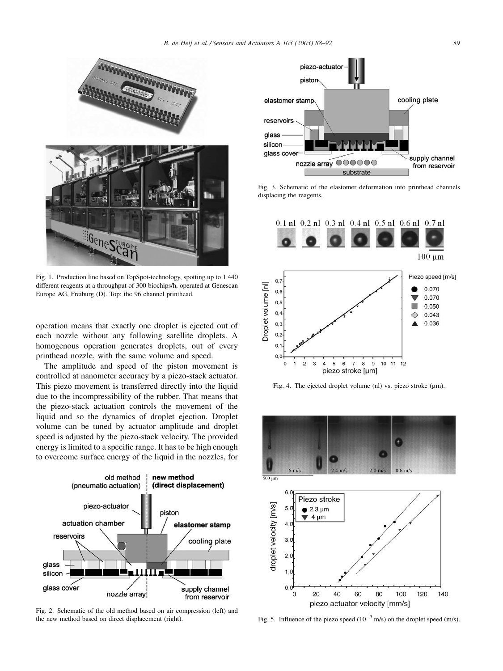<span id="page-1-0"></span>

Fig. 1. Production line based on TopSpot-technology, spotting up to 1.440 different reagents at a throughput of 300 biochips/h, operated at Genescan Europe AG, Freiburg (D). Top: the 96 channel printhead.

operation means that exactly one droplet is ejected out of each nozzle without any following satellite droplets. A homogenous operation generates droplets, out of every printhead nozzle, with the same volume and speed.

The amplitude and speed of the piston movement is controlled at nanometer accuracy by a piezo-stack actuator. This piezo movement is transferred directly into the liquid due to the incompressibility of the rubber. That means that the piezo-stack actuation controls the movement of the liquid and so the dynamics of droplet ejection. Droplet volume can be tuned by actuator amplitude and droplet speed is adjusted by the piezo-stack velocity. The provided energy is limited to a specific range. It has to be high enough to overcome surface energy of the liquid in the nozzles, for



Fig. 2. Schematic of the old method based on air compression (left) and the new method based on direct displacement (right).



Fig. 3. Schematic of the elastomer deformation into printhead channels displacing the reagents.



Fig. 4. The ejected droplet volume (nl) vs. piezo stroke (µm).



Fig. 5. Influence of the piezo speed  $(10^{-3} \text{ m/s})$  on the droplet speed (m/s).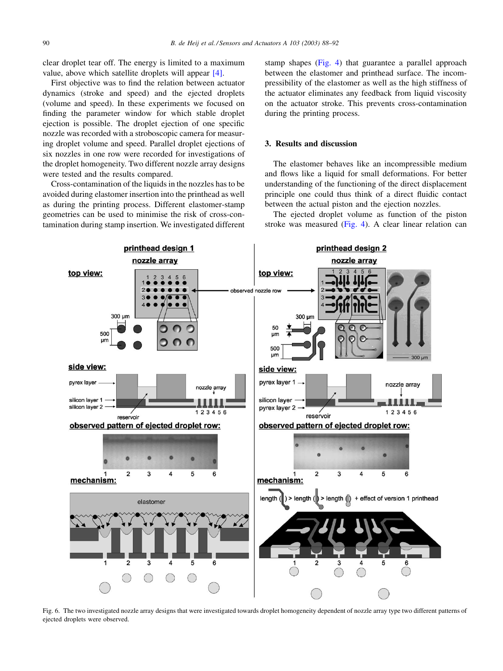<span id="page-2-0"></span>clear droplet tear off. The energy is limited to a maximum value, above which satellite droplets will appear [\[4\]](#page-4-0).

First objective was to find the relation between actuator dynamics (stroke and speed) and the ejected droplets (volume and speed). In these experiments we focused on finding the parameter window for which stable droplet ejection is possible. The droplet ejection of one specific nozzle was recorded with a stroboscopic camera for measuring droplet volume and speed. Parallel droplet ejections of six nozzles in one row were recorded for investigations of the droplet homogeneity. Two different nozzle array designs were tested and the results compared.

Cross-contamination of the liquids in the nozzles has to be avoided during elastomer insertion into the printhead as well as during the printing process. Different elastomer-stamp geometries can be used to minimise the risk of cross-contamination during stamp insertion. We investigated different stamp shapes [\(Fig. 4\)](#page-1-0) that guarantee a parallel approach between the elastomer and printhead surface. The incompressibility of the elastomer as well as the high stiffness of the actuator eliminates any feedback from liquid viscosity on the actuator stroke. This prevents cross-contamination during the printing process.

### 3. Results and discussion

The elastomer behaves like an incompressible medium and flows like a liquid for small deformations. For better understanding of the functioning of the direct displacement principle one could thus think of a direct fluidic contact between the actual piston and the ejection nozzles.

The ejected droplet volume as function of the piston stroke was measured [\(Fig. 4](#page-1-0)). A clear linear relation can



Fig. 6. The two investigated nozzle array designs that were investigated towards droplet homogeneity dependent of nozzle array type two different patterns of ejected droplets were observed.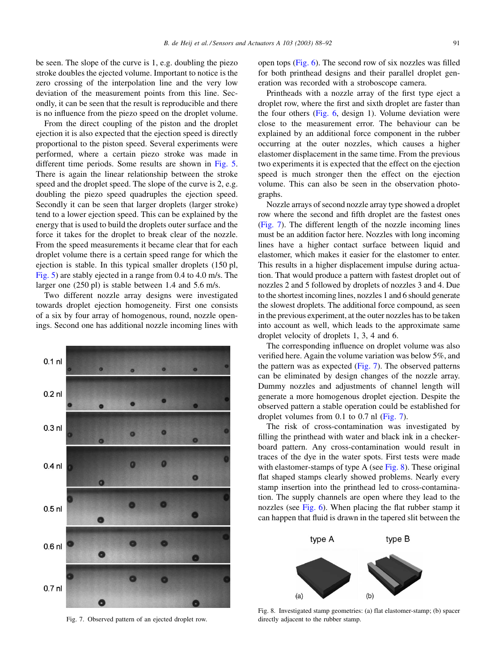<span id="page-3-0"></span>be seen. The slope of the curve is 1, e.g. doubling the piezo stroke doubles the ejected volume. Important to notice is the zero crossing of the interpolation line and the very low deviation of the measurement points from this line. Secondly, it can be seen that the result is reproducible and there is no influence from the piezo speed on the droplet volume.

From the direct coupling of the piston and the droplet ejection it is also expected that the ejection speed is directly proportional to the piston speed. Several experiments were performed, where a certain piezo stroke was made in different time periods. Some results are shown in [Fig. 5](#page-1-0). There is again the linear relationship between the stroke speed and the droplet speed. The slope of the curve is 2, e.g. doubling the piezo speed quadruples the ejection speed. Secondly it can be seen that larger droplets (larger stroke) tend to a lower ejection speed. This can be explained by the energy that is used to build the droplets outer surface and the force it takes for the droplet to break clear of the nozzle. From the speed measurements it became clear that for each droplet volume there is a certain speed range for which the ejection is stable. In this typical smaller droplets (150 pl, [Fig. 5\)](#page-1-0) are stably ejected in a range from 0.4 to 4.0 m/s. The larger one (250 pl) is stable between 1.4 and 5.6 m/s.

Two different nozzle array designs were investigated towards droplet ejection homogeneity. First one consists of a six by four array of homogenous, round, nozzle openings. Second one has additional nozzle incoming lines with



Fig. 7. Observed pattern of an ejected droplet row.

open tops [\(Fig. 6](#page-2-0)). The second row of six nozzles was filled for both printhead designs and their parallel droplet generation was recorded with a stroboscope camera.

Printheads with a nozzle array of the first type eject a droplet row, where the first and sixth droplet are faster than the four others ([Fig. 6](#page-2-0), design 1). Volume deviation were close to the measurement error. The behaviour can be explained by an additional force component in the rubber occurring at the outer nozzles, which causes a higher elastomer displacement in the same time. From the previous two experiments it is expected that the effect on the ejection speed is much stronger then the effect on the ejection volume. This can also be seen in the observation photographs.

Nozzle arrays of second nozzle array type showed a droplet row where the second and fifth droplet are the fastest ones (Fig. 7). The different length of the nozzle incoming lines must be an addition factor here. Nozzles with long incoming lines have a higher contact surface between liquid and elastomer, which makes it easier for the elastomer to enter. This results in a higher displacement impulse during actuation. That would produce a pattern with fastest droplet out of nozzles 2 and 5 followed by droplets of nozzles 3 and 4. Due to the shortest incoming lines, nozzles 1 and 6 should generate the slowest droplets. The additional force compound, as seen in the previous experiment, at the outer nozzles has to be taken into account as well, which leads to the approximate same droplet velocity of droplets 1, 3, 4 and 6.

The corresponding influence on droplet volume was also verified here. Again the volume variation was below 5%, and the pattern was as expected (Fig. 7). The observed patterns can be eliminated by design changes of the nozzle array. Dummy nozzles and adjustments of channel length will generate a more homogenous droplet ejection. Despite the observed pattern a stable operation could be established for droplet volumes from 0.1 to 0.7 nl (Fig. 7).

The risk of cross-contamination was investigated by filling the printhead with water and black ink in a checkerboard pattern. Any cross-contamination would result in traces of the dye in the water spots. First tests were made with elastomer-stamps of type A (see Fig. 8). These original flat shaped stamps clearly showed problems. Nearly every stamp insertion into the printhead led to cross-contamination. The supply channels are open where they lead to the nozzles (see [Fig. 6](#page-2-0)). When placing the flat rubber stamp it can happen that fluid is drawn in the tapered slit between the



Fig. 8. Investigated stamp geometries: (a) flat elastomer-stamp; (b) spacer directly adjacent to the rubber stamp.